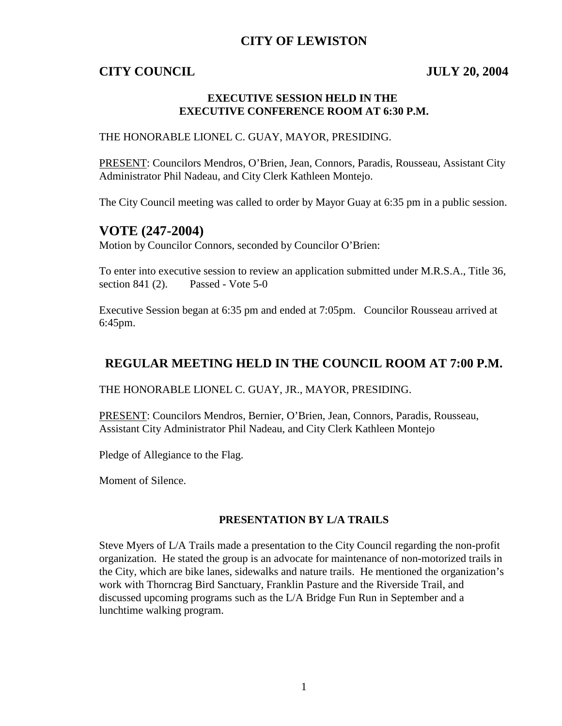## **CITY OF LEWISTON**

### **CITY COUNCIL JULY 20, 2004**

#### **EXECUTIVE SESSION HELD IN THE EXECUTIVE CONFERENCE ROOM AT 6:30 P.M.**

#### THE HONORABLE LIONEL C. GUAY, MAYOR, PRESIDING.

PRESENT: Councilors Mendros, O'Brien, Jean, Connors, Paradis, Rousseau, Assistant City Administrator Phil Nadeau, and City Clerk Kathleen Montejo.

The City Council meeting was called to order by Mayor Guay at 6:35 pm in a public session.

#### **VOTE (247-2004)**

Motion by Councilor Connors, seconded by Councilor O'Brien:

To enter into executive session to review an application submitted under M.R.S.A., Title 36, section 841 (2). Passed - Vote 5-0

Executive Session began at 6:35 pm and ended at 7:05pm. Councilor Rousseau arrived at 6:45pm.

## **REGULAR MEETING HELD IN THE COUNCIL ROOM AT 7:00 P.M.**

THE HONORABLE LIONEL C. GUAY, JR., MAYOR, PRESIDING.

PRESENT: Councilors Mendros, Bernier, O'Brien, Jean, Connors, Paradis, Rousseau, Assistant City Administrator Phil Nadeau, and City Clerk Kathleen Montejo

Pledge of Allegiance to the Flag.

Moment of Silence.

#### **PRESENTATION BY L/A TRAILS**

Steve Myers of L/A Trails made a presentation to the City Council regarding the non-profit organization. He stated the group is an advocate for maintenance of non-motorized trails in the City, which are bike lanes, sidewalks and nature trails. He mentioned the organization's work with Thorncrag Bird Sanctuary, Franklin Pasture and the Riverside Trail, and discussed upcoming programs such as the L/A Bridge Fun Run in September and a lunchtime walking program.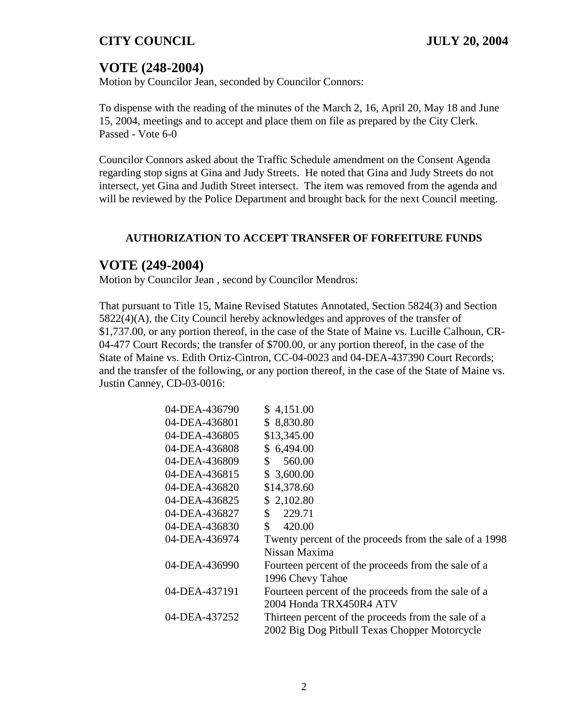# **VOTE (248-2004)**

Motion by Councilor Jean, seconded by Councilor Connors:

To dispense with the reading of the minutes of the March 2, 16, April 20, May 18 and June 15, 2004, meetings and to accept and place them on file as prepared by the City Clerk. Passed - Vote 6-0

Councilor Connors asked about the Traffic Schedule amendment on the Consent Agenda regarding stop signs at Gina and Judy Streets. He noted that Gina and Judy Streets do not intersect, yet Gina and Judith Street intersect. The item was removed from the agenda and will be reviewed by the Police Department and brought back for the next Council meeting.

## **AUTHORIZATION TO ACCEPT TRANSFER OF FORFEITURE FUNDS**

## **VOTE (249-2004)**

Motion by Councilor Jean , second by Councilor Mendros:

That pursuant to Title 15, Maine Revised Statutes Annotated, Section 5824(3) and Section 5822(4)(A), the City Council hereby acknowledges and approves of the transfer of \$1,737.00, or any portion thereof, in the case of the State of Maine vs. Lucille Calhoun, CR-04-477 Court Records; the transfer of \$700.00, or any portion thereof, in the case of the State of Maine vs. Edith Ortiz-Cintron, CC-04-0023 and 04-DEA-437390 Court Records; and the transfer of the following, or any portion thereof, in the case of the State of Maine vs. Justin Canney, CD-03-0016:

| 04-DEA-436790 | \$4,151.00                                             |
|---------------|--------------------------------------------------------|
| 04-DEA-436801 | \$8,830.80                                             |
| 04-DEA-436805 | \$13,345.00                                            |
| 04-DEA-436808 | \$6,494.00                                             |
| 04-DEA-436809 | 560.00<br>\$                                           |
| 04-DEA-436815 | \$3,600.00                                             |
| 04-DEA-436820 | \$14,378.60                                            |
| 04-DEA-436825 | \$2,102.80                                             |
| 04-DEA-436827 | 229.71<br>\$                                           |
| 04-DEA-436830 | \$<br>420.00                                           |
| 04-DEA-436974 | Twenty percent of the proceeds from the sale of a 1998 |
|               | Nissan Maxima                                          |
| 04-DEA-436990 | Fourteen percent of the proceeds from the sale of a    |
|               | 1996 Chevy Tahoe                                       |
| 04-DEA-437191 | Fourteen percent of the proceeds from the sale of a    |
|               | 2004 Honda TRX450R4 ATV                                |
| 04-DEA-437252 | Thirteen percent of the proceeds from the sale of a    |
|               | 2002 Big Dog Pitbull Texas Chopper Motorcycle          |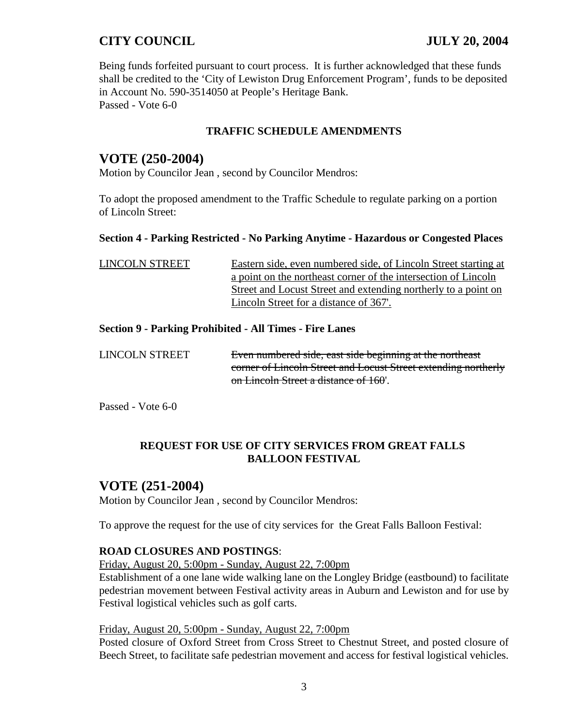Being funds forfeited pursuant to court process. It is further acknowledged that these funds shall be credited to the 'City of Lewiston Drug Enforcement Program', funds to be deposited in Account No. 590-3514050 at People's Heritage Bank. Passed - Vote 6-0

### **TRAFFIC SCHEDULE AMENDMENTS**

## **VOTE (250-2004)**

Motion by Councilor Jean , second by Councilor Mendros:

To adopt the proposed amendment to the Traffic Schedule to regulate parking on a portion of Lincoln Street:

#### **Section 4 - Parking Restricted - No Parking Anytime - Hazardous or Congested Places**

| LINCOLN STREET | Eastern side, even numbered side, of Lincoln Street starting at |
|----------------|-----------------------------------------------------------------|
|                | a point on the northeast corner of the intersection of Lincoln  |
|                | Street and Locust Street and extending northerly to a point on  |
|                | Lincoln Street for a distance of 367.                           |

#### **Section 9 - Parking Prohibited - All Times - Fire Lanes**

LINCOLN STREET Even numbered side, east side beginning at the northeast corner of Lincoln Street and Locust Street extending northerly on Lincoln Street a distance of 160'.

Passed - Vote 6-0

### **REQUEST FOR USE OF CITY SERVICES FROM GREAT FALLS BALLOON FESTIVAL**

### **VOTE (251-2004)**

Motion by Councilor Jean , second by Councilor Mendros:

To approve the request for the use of city services for the Great Falls Balloon Festival:

#### **ROAD CLOSURES AND POSTINGS**:

Friday, August 20, 5:00pm - Sunday, August 22, 7:00pm

Establishment of a one lane wide walking lane on the Longley Bridge (eastbound) to facilitate pedestrian movement between Festival activity areas in Auburn and Lewiston and for use by Festival logistical vehicles such as golf carts.

#### Friday, August 20, 5:00pm - Sunday, August 22, 7:00pm

Posted closure of Oxford Street from Cross Street to Chestnut Street, and posted closure of Beech Street, to facilitate safe pedestrian movement and access for festival logistical vehicles.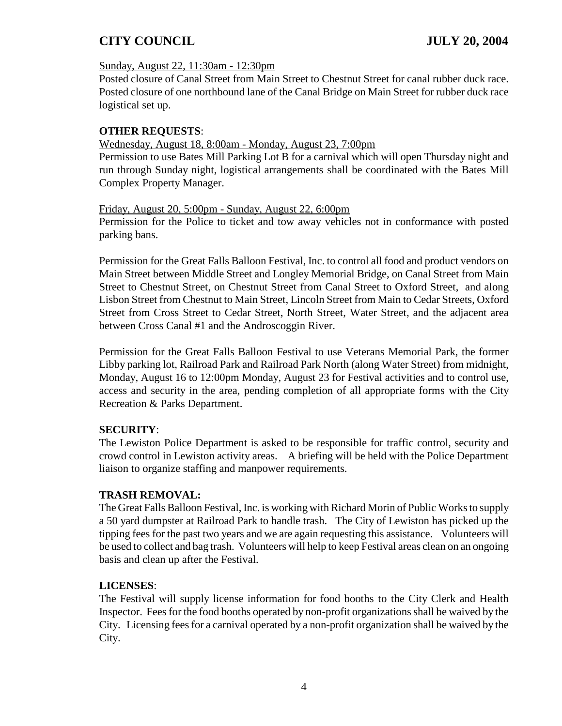#### Sunday, August 22, 11:30am - 12:30pm

Posted closure of Canal Street from Main Street to Chestnut Street for canal rubber duck race. Posted closure of one northbound lane of the Canal Bridge on Main Street for rubber duck race logistical set up.

### **OTHER REQUESTS**:

#### Wednesday, August 18, 8:00am - Monday, August 23, 7:00pm

Permission to use Bates Mill Parking Lot B for a carnival which will open Thursday night and run through Sunday night, logistical arrangements shall be coordinated with the Bates Mill Complex Property Manager.

#### Friday, August 20, 5:00pm - Sunday, August 22, 6:00pm

Permission for the Police to ticket and tow away vehicles not in conformance with posted parking bans.

Permission for the Great Falls Balloon Festival, Inc. to control all food and product vendors on Main Street between Middle Street and Longley Memorial Bridge, on Canal Street from Main Street to Chestnut Street, on Chestnut Street from Canal Street to Oxford Street, and along Lisbon Street from Chestnut to Main Street, Lincoln Street from Main to Cedar Streets, Oxford Street from Cross Street to Cedar Street, North Street, Water Street, and the adjacent area between Cross Canal #1 and the Androscoggin River.

Permission for the Great Falls Balloon Festival to use Veterans Memorial Park, the former Libby parking lot, Railroad Park and Railroad Park North (along Water Street) from midnight, Monday, August 16 to 12:00pm Monday, August 23 for Festival activities and to control use, access and security in the area, pending completion of all appropriate forms with the City Recreation & Parks Department.

### **SECURITY**:

The Lewiston Police Department is asked to be responsible for traffic control, security and crowd control in Lewiston activity areas. A briefing will be held with the Police Department liaison to organize staffing and manpower requirements.

### **TRASH REMOVAL:**

The Great Falls Balloon Festival, Inc. is working with Richard Morin of Public Works to supply a 50 yard dumpster at Railroad Park to handle trash. The City of Lewiston has picked up the tipping fees for the past two years and we are again requesting this assistance. Volunteers will be used to collect and bag trash. Volunteers will help to keep Festival areas clean on an ongoing basis and clean up after the Festival.

### **LICENSES**:

The Festival will supply license information for food booths to the City Clerk and Health Inspector. Fees for the food booths operated by non-profit organizations shall be waived by the City. Licensing fees for a carnival operated by a non-profit organization shall be waived by the City.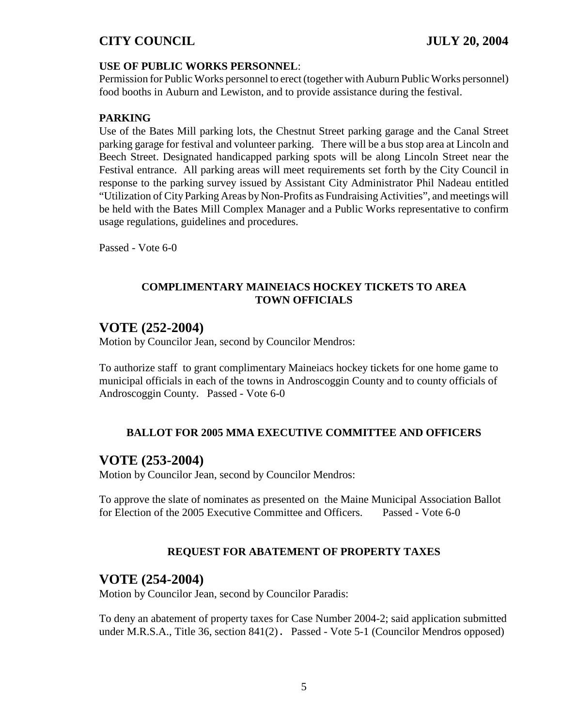#### **USE OF PUBLIC WORKS PERSONNEL**:

Permission for Public Works personnel to erect (together with Auburn Public Works personnel) food booths in Auburn and Lewiston, and to provide assistance during the festival.

#### **PARKING**

Use of the Bates Mill parking lots, the Chestnut Street parking garage and the Canal Street parking garage for festival and volunteer parking. There will be a bus stop area at Lincoln and Beech Street. Designated handicapped parking spots will be along Lincoln Street near the Festival entrance. All parking areas will meet requirements set forth by the City Council in response to the parking survey issued by Assistant City Administrator Phil Nadeau entitled "Utilization of City Parking Areas by Non-Profits as Fundraising Activities", and meetings will be held with the Bates Mill Complex Manager and a Public Works representative to confirm usage regulations, guidelines and procedures.

Passed - Vote 6-0

#### **COMPLIMENTARY MAINEIACS HOCKEY TICKETS TO AREA TOWN OFFICIALS**

## **VOTE (252-2004)**

Motion by Councilor Jean, second by Councilor Mendros:

To authorize staff to grant complimentary Maineiacs hockey tickets for one home game to municipal officials in each of the towns in Androscoggin County and to county officials of Androscoggin County. Passed - Vote 6-0

### **BALLOT FOR 2005 MMA EXECUTIVE COMMITTEE AND OFFICERS**

## **VOTE (253-2004)**

Motion by Councilor Jean, second by Councilor Mendros:

To approve the slate of nominates as presented on the Maine Municipal Association Ballot for Election of the 2005 Executive Committee and Officers. Passed - Vote 6-0

### **REQUEST FOR ABATEMENT OF PROPERTY TAXES**

## **VOTE (254-2004)**

Motion by Councilor Jean, second by Councilor Paradis:

To deny an abatement of property taxes for Case Number 2004-2; said application submitted under M.R.S.A., Title 36, section 841(2). Passed - Vote 5-1 (Councilor Mendros opposed)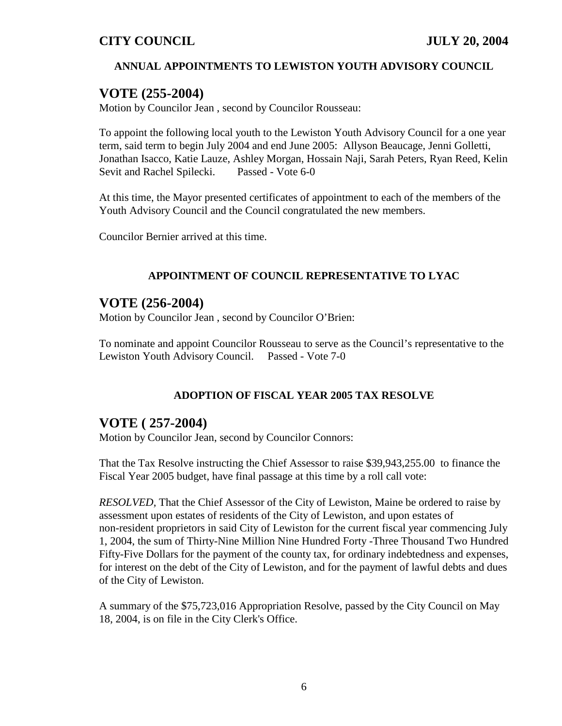### **ANNUAL APPOINTMENTS TO LEWISTON YOUTH ADVISORY COUNCIL**

## **VOTE (255-2004)**

Motion by Councilor Jean , second by Councilor Rousseau:

To appoint the following local youth to the Lewiston Youth Advisory Council for a one year term, said term to begin July 2004 and end June 2005: Allyson Beaucage, Jenni Golletti, Jonathan Isacco, Katie Lauze, Ashley Morgan, Hossain Naji, Sarah Peters, Ryan Reed, Kelin Sevit and Rachel Spilecki. Passed - Vote 6-0

At this time, the Mayor presented certificates of appointment to each of the members of the Youth Advisory Council and the Council congratulated the new members.

Councilor Bernier arrived at this time.

### **APPOINTMENT OF COUNCIL REPRESENTATIVE TO LYAC**

## **VOTE (256-2004)**

Motion by Councilor Jean , second by Councilor O'Brien:

To nominate and appoint Councilor Rousseau to serve as the Council's representative to the Lewiston Youth Advisory Council. Passed - Vote 7-0

### **ADOPTION OF FISCAL YEAR 2005 TAX RESOLVE**

## **VOTE ( 257-2004)**

Motion by Councilor Jean, second by Councilor Connors:

That the Tax Resolve instructing the Chief Assessor to raise \$39,943,255.00 to finance the Fiscal Year 2005 budget, have final passage at this time by a roll call vote:

*RESOLVED,* That the Chief Assessor of the City of Lewiston, Maine be ordered to raise by assessment upon estates of residents of the City of Lewiston, and upon estates of non-resident proprietors in said City of Lewiston for the current fiscal year commencing July 1, 2004, the sum of Thirty-Nine Million Nine Hundred Forty -Three Thousand Two Hundred Fifty-Five Dollars for the payment of the county tax, for ordinary indebtedness and expenses, for interest on the debt of the City of Lewiston, and for the payment of lawful debts and dues of the City of Lewiston.

A summary of the \$75,723,016 Appropriation Resolve, passed by the City Council on May 18, 2004, is on file in the City Clerk's Office.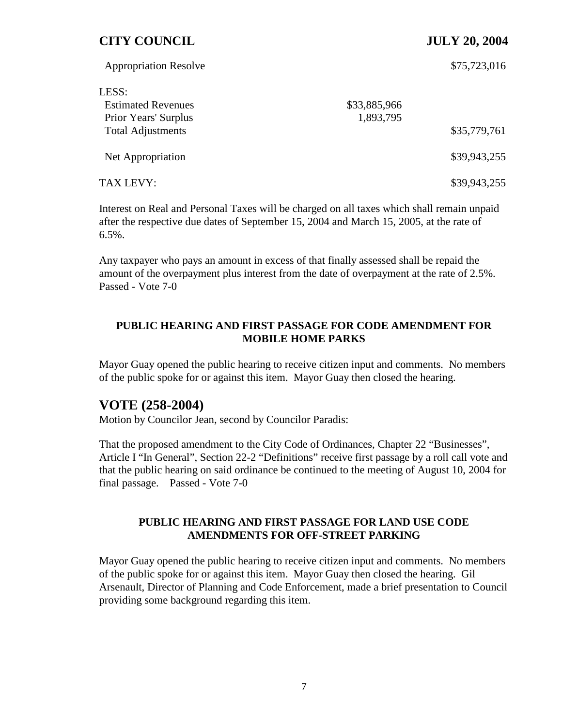| <b>Appropriation Resolve</b> |              | \$75,723,016 |
|------------------------------|--------------|--------------|
| LESS:                        |              |              |
| <b>Estimated Revenues</b>    | \$33,885,966 |              |
| Prior Years' Surplus         | 1,893,795    |              |
| <b>Total Adjustments</b>     |              | \$35,779,761 |
| Net Appropriation            |              | \$39,943,255 |
| TAX LEVY:                    |              | \$39,943,255 |

Interest on Real and Personal Taxes will be charged on all taxes which shall remain unpaid after the respective due dates of September 15, 2004 and March 15, 2005, at the rate of 6.5%.

Any taxpayer who pays an amount in excess of that finally assessed shall be repaid the amount of the overpayment plus interest from the date of overpayment at the rate of 2.5%. Passed - Vote 7-0

#### **PUBLIC HEARING AND FIRST PASSAGE FOR CODE AMENDMENT FOR MOBILE HOME PARKS**

Mayor Guay opened the public hearing to receive citizen input and comments. No members of the public spoke for or against this item. Mayor Guay then closed the hearing.

## **VOTE (258-2004)**

Motion by Councilor Jean, second by Councilor Paradis:

That the proposed amendment to the City Code of Ordinances, Chapter 22 "Businesses", Article I "In General", Section 22-2 "Definitions" receive first passage by a roll call vote and that the public hearing on said ordinance be continued to the meeting of August 10, 2004 for final passage. Passed - Vote 7-0

#### **PUBLIC HEARING AND FIRST PASSAGE FOR LAND USE CODE AMENDMENTS FOR OFF-STREET PARKING**

Mayor Guay opened the public hearing to receive citizen input and comments. No members of the public spoke for or against this item. Mayor Guay then closed the hearing. Gil Arsenault, Director of Planning and Code Enforcement, made a brief presentation to Council providing some background regarding this item.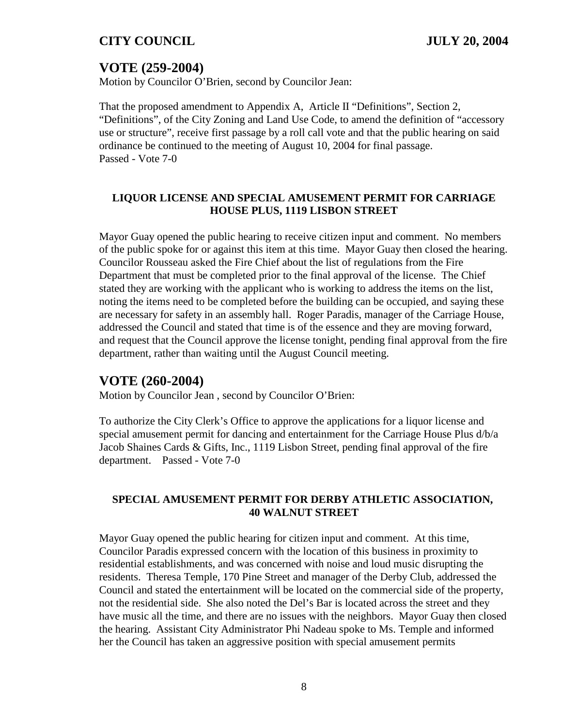# **VOTE (259-2004)**

Motion by Councilor O'Brien, second by Councilor Jean:

That the proposed amendment to Appendix A, Article II "Definitions", Section 2, "Definitions", of the City Zoning and Land Use Code, to amend the definition of "accessory use or structure", receive first passage by a roll call vote and that the public hearing on said ordinance be continued to the meeting of August 10, 2004 for final passage. Passed - Vote 7-0

### **LIQUOR LICENSE AND SPECIAL AMUSEMENT PERMIT FOR CARRIAGE HOUSE PLUS, 1119 LISBON STREET**

Mayor Guay opened the public hearing to receive citizen input and comment. No members of the public spoke for or against this item at this time. Mayor Guay then closed the hearing. Councilor Rousseau asked the Fire Chief about the list of regulations from the Fire Department that must be completed prior to the final approval of the license. The Chief stated they are working with the applicant who is working to address the items on the list, noting the items need to be completed before the building can be occupied, and saying these are necessary for safety in an assembly hall. Roger Paradis, manager of the Carriage House, addressed the Council and stated that time is of the essence and they are moving forward, and request that the Council approve the license tonight, pending final approval from the fire department, rather than waiting until the August Council meeting.

### **VOTE (260-2004)**

Motion by Councilor Jean , second by Councilor O'Brien:

To authorize the City Clerk's Office to approve the applications for a liquor license and special amusement permit for dancing and entertainment for the Carriage House Plus d/b/a Jacob Shaines Cards & Gifts, Inc., 1119 Lisbon Street, pending final approval of the fire department. Passed - Vote 7-0

#### **SPECIAL AMUSEMENT PERMIT FOR DERBY ATHLETIC ASSOCIATION, 40 WALNUT STREET**

Mayor Guay opened the public hearing for citizen input and comment. At this time, Councilor Paradis expressed concern with the location of this business in proximity to residential establishments, and was concerned with noise and loud music disrupting the residents. Theresa Temple, 170 Pine Street and manager of the Derby Club, addressed the Council and stated the entertainment will be located on the commercial side of the property, not the residential side. She also noted the Del's Bar is located across the street and they have music all the time, and there are no issues with the neighbors. Mayor Guay then closed the hearing. Assistant City Administrator Phi Nadeau spoke to Ms. Temple and informed her the Council has taken an aggressive position with special amusement permits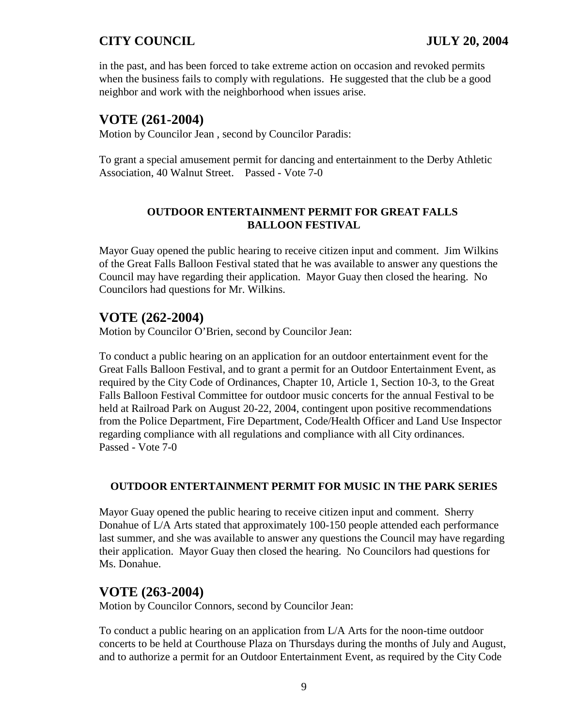in the past, and has been forced to take extreme action on occasion and revoked permits when the business fails to comply with regulations. He suggested that the club be a good neighbor and work with the neighborhood when issues arise.

# **VOTE (261-2004)**

Motion by Councilor Jean , second by Councilor Paradis:

To grant a special amusement permit for dancing and entertainment to the Derby Athletic Association, 40 Walnut Street. Passed - Vote 7-0

### **OUTDOOR ENTERTAINMENT PERMIT FOR GREAT FALLS BALLOON FESTIVAL**

Mayor Guay opened the public hearing to receive citizen input and comment. Jim Wilkins of the Great Falls Balloon Festival stated that he was available to answer any questions the Council may have regarding their application. Mayor Guay then closed the hearing. No Councilors had questions for Mr. Wilkins.

# **VOTE (262-2004)**

Motion by Councilor O'Brien, second by Councilor Jean:

To conduct a public hearing on an application for an outdoor entertainment event for the Great Falls Balloon Festival, and to grant a permit for an Outdoor Entertainment Event, as required by the City Code of Ordinances, Chapter 10, Article 1, Section 10-3, to the Great Falls Balloon Festival Committee for outdoor music concerts for the annual Festival to be held at Railroad Park on August 20-22, 2004, contingent upon positive recommendations from the Police Department, Fire Department, Code/Health Officer and Land Use Inspector regarding compliance with all regulations and compliance with all City ordinances. Passed - Vote 7-0

### **OUTDOOR ENTERTAINMENT PERMIT FOR MUSIC IN THE PARK SERIES**

Mayor Guay opened the public hearing to receive citizen input and comment. Sherry Donahue of L/A Arts stated that approximately 100-150 people attended each performance last summer, and she was available to answer any questions the Council may have regarding their application. Mayor Guay then closed the hearing. No Councilors had questions for Ms. Donahue.

## **VOTE (263-2004)**

Motion by Councilor Connors, second by Councilor Jean:

To conduct a public hearing on an application from L/A Arts for the noon-time outdoor concerts to be held at Courthouse Plaza on Thursdays during the months of July and August, and to authorize a permit for an Outdoor Entertainment Event, as required by the City Code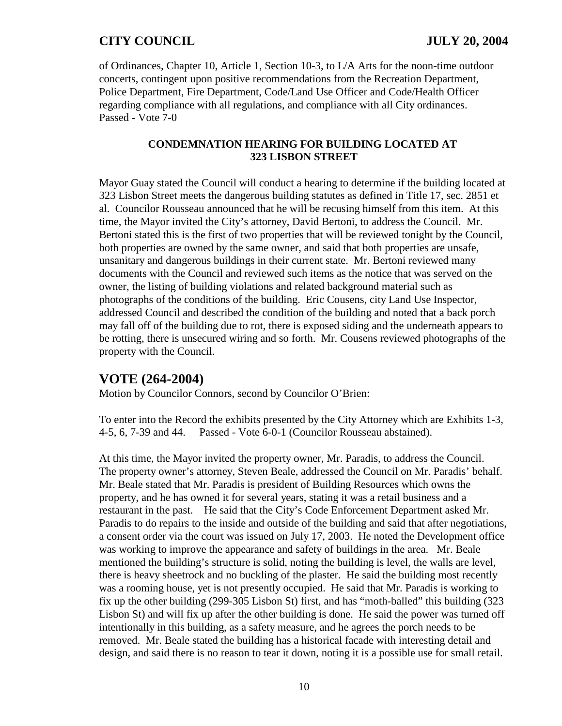of Ordinances, Chapter 10, Article 1, Section 10-3, to L/A Arts for the noon-time outdoor concerts, contingent upon positive recommendations from the Recreation Department, Police Department, Fire Department, Code/Land Use Officer and Code/Health Officer regarding compliance with all regulations, and compliance with all City ordinances. Passed - Vote 7-0

#### **CONDEMNATION HEARING FOR BUILDING LOCATED AT 323 LISBON STREET**

Mayor Guay stated the Council will conduct a hearing to determine if the building located at 323 Lisbon Street meets the dangerous building statutes as defined in Title 17, sec. 2851 et al. Councilor Rousseau announced that he will be recusing himself from this item. At this time, the Mayor invited the City's attorney, David Bertoni, to address the Council. Mr. Bertoni stated this is the first of two properties that will be reviewed tonight by the Council, both properties are owned by the same owner, and said that both properties are unsafe, unsanitary and dangerous buildings in their current state. Mr. Bertoni reviewed many documents with the Council and reviewed such items as the notice that was served on the owner, the listing of building violations and related background material such as photographs of the conditions of the building. Eric Cousens, city Land Use Inspector, addressed Council and described the condition of the building and noted that a back porch may fall off of the building due to rot, there is exposed siding and the underneath appears to be rotting, there is unsecured wiring and so forth. Mr. Cousens reviewed photographs of the property with the Council.

## **VOTE (264-2004)**

Motion by Councilor Connors, second by Councilor O'Brien:

To enter into the Record the exhibits presented by the City Attorney which are Exhibits 1-3, 4-5, 6, 7-39 and 44. Passed - Vote 6-0-1 (Councilor Rousseau abstained).

At this time, the Mayor invited the property owner, Mr. Paradis, to address the Council. The property owner's attorney, Steven Beale, addressed the Council on Mr. Paradis' behalf. Mr. Beale stated that Mr. Paradis is president of Building Resources which owns the property, and he has owned it for several years, stating it was a retail business and a restaurant in the past. He said that the City's Code Enforcement Department asked Mr. Paradis to do repairs to the inside and outside of the building and said that after negotiations, a consent order via the court was issued on July 17, 2003. He noted the Development office was working to improve the appearance and safety of buildings in the area. Mr. Beale mentioned the building's structure is solid, noting the building is level, the walls are level, there is heavy sheetrock and no buckling of the plaster. He said the building most recently was a rooming house, yet is not presently occupied. He said that Mr. Paradis is working to fix up the other building (299-305 Lisbon St) first, and has "moth-balled" this building (323 Lisbon St) and will fix up after the other building is done. He said the power was turned off intentionally in this building, as a safety measure, and he agrees the porch needs to be removed. Mr. Beale stated the building has a historical facade with interesting detail and design, and said there is no reason to tear it down, noting it is a possible use for small retail.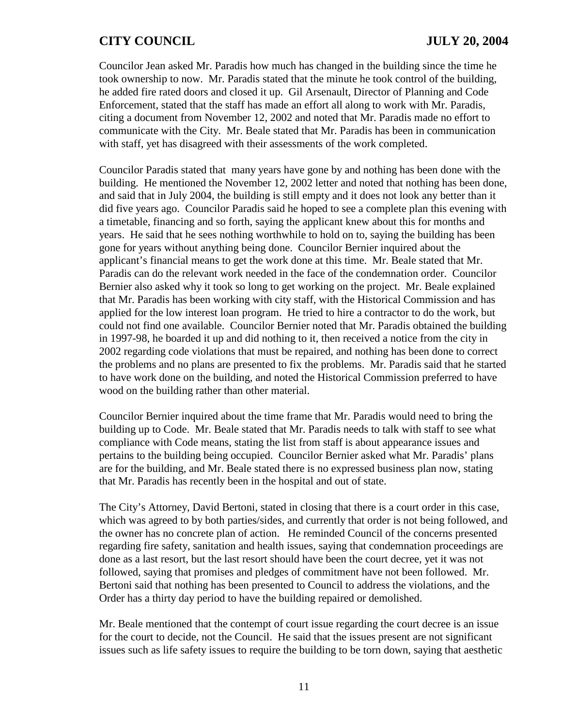Councilor Jean asked Mr. Paradis how much has changed in the building since the time he took ownership to now. Mr. Paradis stated that the minute he took control of the building, he added fire rated doors and closed it up. Gil Arsenault, Director of Planning and Code Enforcement, stated that the staff has made an effort all along to work with Mr. Paradis, citing a document from November 12, 2002 and noted that Mr. Paradis made no effort to communicate with the City. Mr. Beale stated that Mr. Paradis has been in communication with staff, yet has disagreed with their assessments of the work completed.

Councilor Paradis stated that many years have gone by and nothing has been done with the building. He mentioned the November 12, 2002 letter and noted that nothing has been done, and said that in July 2004, the building is still empty and it does not look any better than it did five years ago. Councilor Paradis said he hoped to see a complete plan this evening with a timetable, financing and so forth, saying the applicant knew about this for months and years. He said that he sees nothing worthwhile to hold on to, saying the building has been gone for years without anything being done. Councilor Bernier inquired about the applicant's financial means to get the work done at this time. Mr. Beale stated that Mr. Paradis can do the relevant work needed in the face of the condemnation order. Councilor Bernier also asked why it took so long to get working on the project. Mr. Beale explained that Mr. Paradis has been working with city staff, with the Historical Commission and has applied for the low interest loan program. He tried to hire a contractor to do the work, but could not find one available. Councilor Bernier noted that Mr. Paradis obtained the building in 1997-98, he boarded it up and did nothing to it, then received a notice from the city in 2002 regarding code violations that must be repaired, and nothing has been done to correct the problems and no plans are presented to fix the problems. Mr. Paradis said that he started to have work done on the building, and noted the Historical Commission preferred to have wood on the building rather than other material.

Councilor Bernier inquired about the time frame that Mr. Paradis would need to bring the building up to Code. Mr. Beale stated that Mr. Paradis needs to talk with staff to see what compliance with Code means, stating the list from staff is about appearance issues and pertains to the building being occupied. Councilor Bernier asked what Mr. Paradis' plans are for the building, and Mr. Beale stated there is no expressed business plan now, stating that Mr. Paradis has recently been in the hospital and out of state.

The City's Attorney, David Bertoni, stated in closing that there is a court order in this case, which was agreed to by both parties/sides, and currently that order is not being followed, and the owner has no concrete plan of action. He reminded Council of the concerns presented regarding fire safety, sanitation and health issues, saying that condemnation proceedings are done as a last resort, but the last resort should have been the court decree, yet it was not followed, saying that promises and pledges of commitment have not been followed. Mr. Bertoni said that nothing has been presented to Council to address the violations, and the Order has a thirty day period to have the building repaired or demolished.

Mr. Beale mentioned that the contempt of court issue regarding the court decree is an issue for the court to decide, not the Council. He said that the issues present are not significant issues such as life safety issues to require the building to be torn down, saying that aesthetic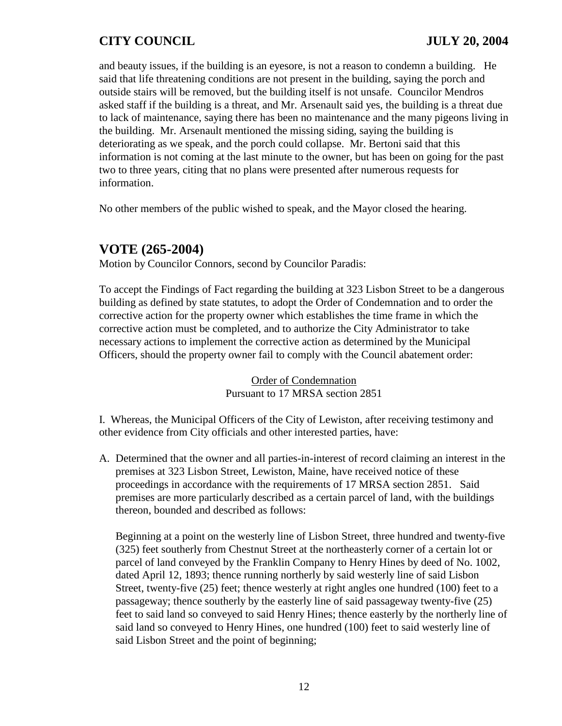and beauty issues, if the building is an eyesore, is not a reason to condemn a building. He said that life threatening conditions are not present in the building, saying the porch and outside stairs will be removed, but the building itself is not unsafe. Councilor Mendros asked staff if the building is a threat, and Mr. Arsenault said yes, the building is a threat due to lack of maintenance, saying there has been no maintenance and the many pigeons living in the building. Mr. Arsenault mentioned the missing siding, saying the building is deteriorating as we speak, and the porch could collapse. Mr. Bertoni said that this information is not coming at the last minute to the owner, but has been on going for the past two to three years, citing that no plans were presented after numerous requests for information.

No other members of the public wished to speak, and the Mayor closed the hearing.

# **VOTE (265-2004)**

Motion by Councilor Connors, second by Councilor Paradis:

To accept the Findings of Fact regarding the building at 323 Lisbon Street to be a dangerous building as defined by state statutes, to adopt the Order of Condemnation and to order the corrective action for the property owner which establishes the time frame in which the corrective action must be completed, and to authorize the City Administrator to take necessary actions to implement the corrective action as determined by the Municipal Officers, should the property owner fail to comply with the Council abatement order:

> Order of Condemnation Pursuant to 17 MRSA section 2851

I. Whereas, the Municipal Officers of the City of Lewiston, after receiving testimony and other evidence from City officials and other interested parties, have:

A. Determined that the owner and all parties-in-interest of record claiming an interest in the premises at 323 Lisbon Street, Lewiston, Maine, have received notice of these proceedings in accordance with the requirements of 17 MRSA section 2851. Said premises are more particularly described as a certain parcel of land, with the buildings thereon, bounded and described as follows:

Beginning at a point on the westerly line of Lisbon Street, three hundred and twenty-five (325) feet southerly from Chestnut Street at the northeasterly corner of a certain lot or parcel of land conveyed by the Franklin Company to Henry Hines by deed of No. 1002, dated April 12, 1893; thence running northerly by said westerly line of said Lisbon Street, twenty-five (25) feet; thence westerly at right angles one hundred (100) feet to a passageway; thence southerly by the easterly line of said passageway twenty-five (25) feet to said land so conveyed to said Henry Hines; thence easterly by the northerly line of said land so conveyed to Henry Hines, one hundred (100) feet to said westerly line of said Lisbon Street and the point of beginning;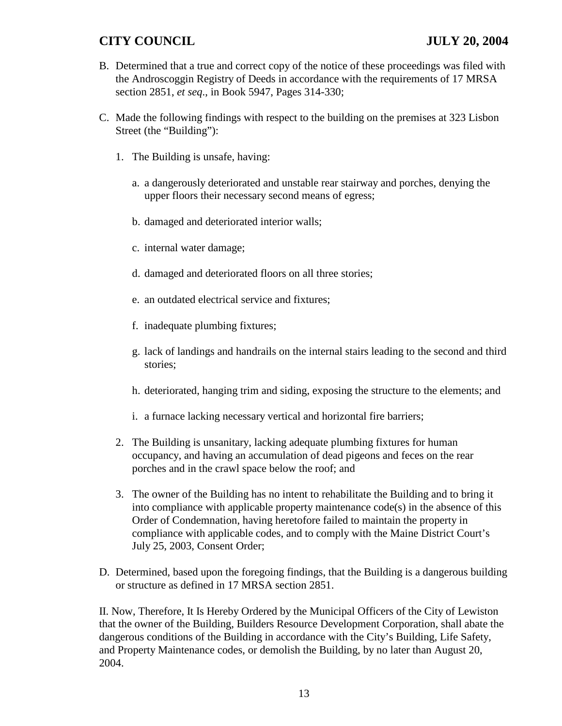- B. Determined that a true and correct copy of the notice of these proceedings was filed with the Androscoggin Registry of Deeds in accordance with the requirements of 17 MRSA section 2851, *et seq*., in Book 5947, Pages 314-330;
- C. Made the following findings with respect to the building on the premises at 323 Lisbon Street (the "Building"):
	- 1. The Building is unsafe, having:
		- a. a dangerously deteriorated and unstable rear stairway and porches, denying the upper floors their necessary second means of egress;
		- b. damaged and deteriorated interior walls;
		- c. internal water damage;
		- d. damaged and deteriorated floors on all three stories;
		- e. an outdated electrical service and fixtures;
		- f. inadequate plumbing fixtures;
		- g. lack of landings and handrails on the internal stairs leading to the second and third stories;
		- h. deteriorated, hanging trim and siding, exposing the structure to the elements; and
		- i. a furnace lacking necessary vertical and horizontal fire barriers;
	- 2. The Building is unsanitary, lacking adequate plumbing fixtures for human occupancy, and having an accumulation of dead pigeons and feces on the rear porches and in the crawl space below the roof; and
	- 3. The owner of the Building has no intent to rehabilitate the Building and to bring it into compliance with applicable property maintenance code(s) in the absence of this Order of Condemnation, having heretofore failed to maintain the property in compliance with applicable codes, and to comply with the Maine District Court's July 25, 2003, Consent Order;
- D. Determined, based upon the foregoing findings, that the Building is a dangerous building or structure as defined in 17 MRSA section 2851.

II. Now, Therefore, It Is Hereby Ordered by the Municipal Officers of the City of Lewiston that the owner of the Building, Builders Resource Development Corporation, shall abate the dangerous conditions of the Building in accordance with the City's Building, Life Safety, and Property Maintenance codes, or demolish the Building, by no later than August 20, 2004.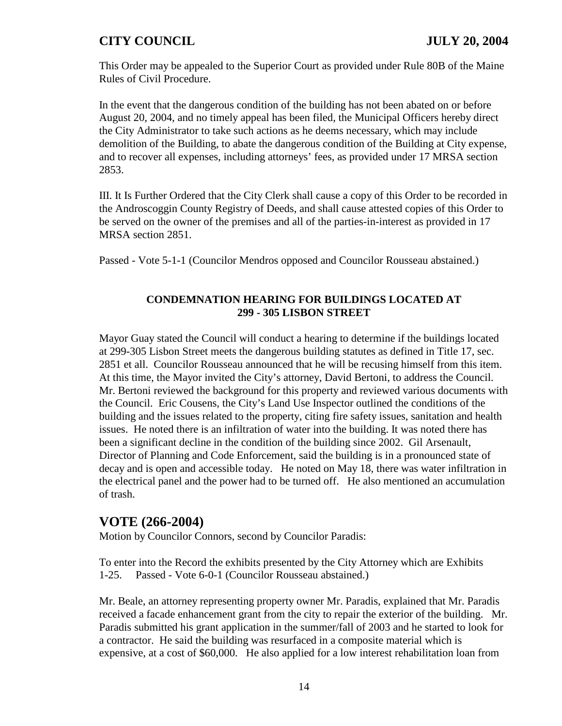This Order may be appealed to the Superior Court as provided under Rule 80B of the Maine Rules of Civil Procedure.

In the event that the dangerous condition of the building has not been abated on or before August 20, 2004, and no timely appeal has been filed, the Municipal Officers hereby direct the City Administrator to take such actions as he deems necessary, which may include demolition of the Building, to abate the dangerous condition of the Building at City expense, and to recover all expenses, including attorneys' fees, as provided under 17 MRSA section 2853.

III. It Is Further Ordered that the City Clerk shall cause a copy of this Order to be recorded in the Androscoggin County Registry of Deeds, and shall cause attested copies of this Order to be served on the owner of the premises and all of the parties-in-interest as provided in 17 MRSA section 2851.

Passed - Vote 5-1-1 (Councilor Mendros opposed and Councilor Rousseau abstained.)

### **CONDEMNATION HEARING FOR BUILDINGS LOCATED AT 299 - 305 LISBON STREET**

Mayor Guay stated the Council will conduct a hearing to determine if the buildings located at 299-305 Lisbon Street meets the dangerous building statutes as defined in Title 17, sec. 2851 et all. Councilor Rousseau announced that he will be recusing himself from this item. At this time, the Mayor invited the City's attorney, David Bertoni, to address the Council. Mr. Bertoni reviewed the background for this property and reviewed various documents with the Council. Eric Cousens, the City's Land Use Inspector outlined the conditions of the building and the issues related to the property, citing fire safety issues, sanitation and health issues. He noted there is an infiltration of water into the building. It was noted there has been a significant decline in the condition of the building since 2002. Gil Arsenault, Director of Planning and Code Enforcement, said the building is in a pronounced state of decay and is open and accessible today. He noted on May 18, there was water infiltration in the electrical panel and the power had to be turned off. He also mentioned an accumulation of trash.

# **VOTE (266-2004)**

Motion by Councilor Connors, second by Councilor Paradis:

To enter into the Record the exhibits presented by the City Attorney which are Exhibits 1-25. Passed - Vote 6-0-1 (Councilor Rousseau abstained.)

Mr. Beale, an attorney representing property owner Mr. Paradis, explained that Mr. Paradis received a facade enhancement grant from the city to repair the exterior of the building. Mr. Paradis submitted his grant application in the summer/fall of 2003 and he started to look for a contractor. He said the building was resurfaced in a composite material which is expensive, at a cost of \$60,000. He also applied for a low interest rehabilitation loan from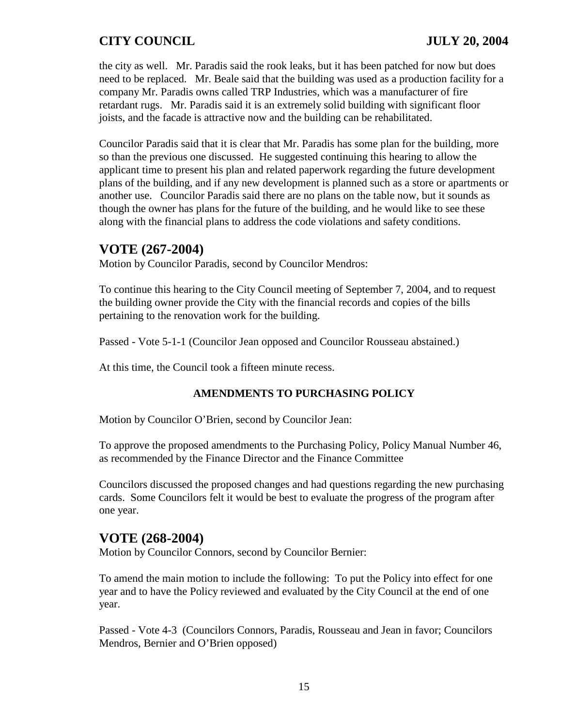the city as well. Mr. Paradis said the rook leaks, but it has been patched for now but does need to be replaced. Mr. Beale said that the building was used as a production facility for a company Mr. Paradis owns called TRP Industries, which was a manufacturer of fire retardant rugs. Mr. Paradis said it is an extremely solid building with significant floor joists, and the facade is attractive now and the building can be rehabilitated.

Councilor Paradis said that it is clear that Mr. Paradis has some plan for the building, more so than the previous one discussed. He suggested continuing this hearing to allow the applicant time to present his plan and related paperwork regarding the future development plans of the building, and if any new development is planned such as a store or apartments or another use. Councilor Paradis said there are no plans on the table now, but it sounds as though the owner has plans for the future of the building, and he would like to see these along with the financial plans to address the code violations and safety conditions.

# **VOTE (267-2004)**

Motion by Councilor Paradis, second by Councilor Mendros:

To continue this hearing to the City Council meeting of September 7, 2004, and to request the building owner provide the City with the financial records and copies of the bills pertaining to the renovation work for the building.

Passed - Vote 5-1-1 (Councilor Jean opposed and Councilor Rousseau abstained.)

At this time, the Council took a fifteen minute recess.

### **AMENDMENTS TO PURCHASING POLICY**

Motion by Councilor O'Brien, second by Councilor Jean:

To approve the proposed amendments to the Purchasing Policy, Policy Manual Number 46, as recommended by the Finance Director and the Finance Committee

Councilors discussed the proposed changes and had questions regarding the new purchasing cards. Some Councilors felt it would be best to evaluate the progress of the program after one year.

# **VOTE (268-2004)**

Motion by Councilor Connors, second by Councilor Bernier:

To amend the main motion to include the following: To put the Policy into effect for one year and to have the Policy reviewed and evaluated by the City Council at the end of one year.

Passed - Vote 4-3 (Councilors Connors, Paradis, Rousseau and Jean in favor; Councilors Mendros, Bernier and O'Brien opposed)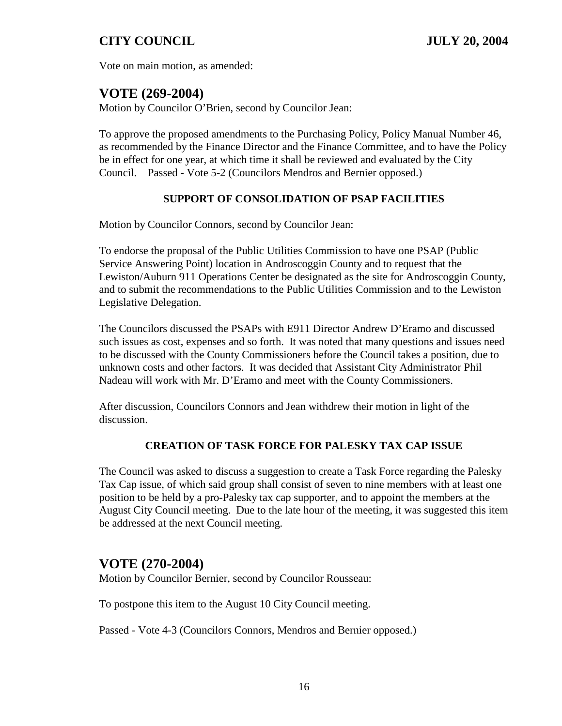Vote on main motion, as amended:

# **VOTE (269-2004)**

Motion by Councilor O'Brien, second by Councilor Jean:

To approve the proposed amendments to the Purchasing Policy, Policy Manual Number 46, as recommended by the Finance Director and the Finance Committee, and to have the Policy be in effect for one year, at which time it shall be reviewed and evaluated by the City Council. Passed - Vote 5-2 (Councilors Mendros and Bernier opposed.)

#### **SUPPORT OF CONSOLIDATION OF PSAP FACILITIES**

Motion by Councilor Connors, second by Councilor Jean:

To endorse the proposal of the Public Utilities Commission to have one PSAP (Public Service Answering Point) location in Androscoggin County and to request that the Lewiston/Auburn 911 Operations Center be designated as the site for Androscoggin County, and to submit the recommendations to the Public Utilities Commission and to the Lewiston Legislative Delegation.

The Councilors discussed the PSAPs with E911 Director Andrew D'Eramo and discussed such issues as cost, expenses and so forth. It was noted that many questions and issues need to be discussed with the County Commissioners before the Council takes a position, due to unknown costs and other factors. It was decided that Assistant City Administrator Phil Nadeau will work with Mr. D'Eramo and meet with the County Commissioners.

After discussion, Councilors Connors and Jean withdrew their motion in light of the discussion.

### **CREATION OF TASK FORCE FOR PALESKY TAX CAP ISSUE**

The Council was asked to discuss a suggestion to create a Task Force regarding the Palesky Tax Cap issue, of which said group shall consist of seven to nine members with at least one position to be held by a pro-Palesky tax cap supporter, and to appoint the members at the August City Council meeting. Due to the late hour of the meeting, it was suggested this item be addressed at the next Council meeting.

## **VOTE (270-2004)**

Motion by Councilor Bernier, second by Councilor Rousseau:

To postpone this item to the August 10 City Council meeting.

Passed - Vote 4-3 (Councilors Connors, Mendros and Bernier opposed.)